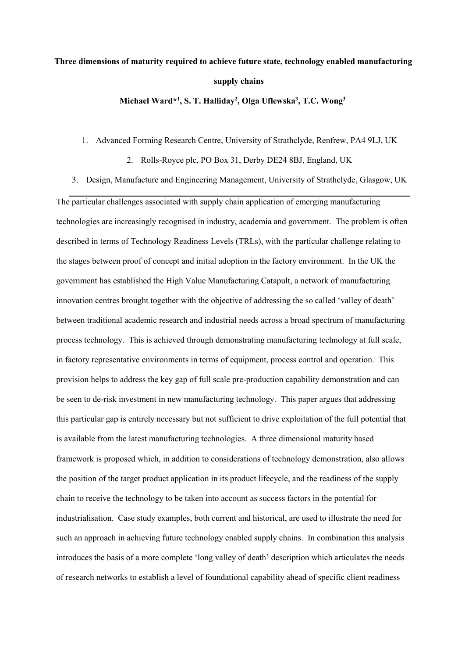# **Three dimensions of maturity required to achieve future state, technology enabled manufacturing supply chains**

**Michael Ward\* 1 , S. T. Halliday<sup>2</sup> , Olga Uflewska<sup>3</sup> , T.C. Wong<sup>3</sup>**

## 1. Advanced Forming Research Centre, University of Strathclyde, Renfrew, PA4 9LJ, UK

2. Rolls-Royce plc, PO Box 31, Derby DE24 8BJ, England, UK

3. Design, Manufacture and Engineering Management, University of Strathclyde, Glasgow, UK

The particular challenges associated with supply chain application of emerging manufacturing technologies are increasingly recognised in industry, academia and government. The problem is often described in terms of Technology Readiness Levels (TRLs), with the particular challenge relating to the stages between proof of concept and initial adoption in the factory environment. In the UK the government has established the High Value Manufacturing Catapult, a network of manufacturing innovation centres brought together with the objective of addressing the so called 'valley of death' between traditional academic research and industrial needs across a broad spectrum of manufacturing process technology. This is achieved through demonstrating manufacturing technology at full scale, in factory representative environments in terms of equipment, process control and operation. This provision helps to address the key gap of full scale pre-production capability demonstration and can be seen to de-risk investment in new manufacturing technology. This paper argues that addressing this particular gap is entirely necessary but not sufficient to drive exploitation of the full potential that is available from the latest manufacturing technologies. A three dimensional maturity based framework is proposed which, in addition to considerations of technology demonstration, also allows the position of the target product application in its product lifecycle, and the readiness of the supply chain to receive the technology to be taken into account as success factors in the potential for industrialisation. Case study examples, both current and historical, are used to illustrate the need for such an approach in achieving future technology enabled supply chains. In combination this analysis introduces the basis of a more complete 'long valley of death' description which articulates the needs of research networks to establish a level of foundational capability ahead of specific client readiness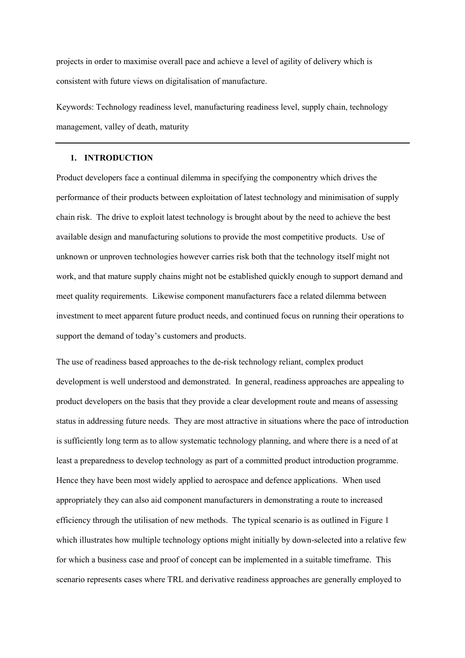projects in order to maximise overall pace and achieve a level of agility of delivery which is consistent with future views on digitalisation of manufacture.

Keywords: Technology readiness level, manufacturing readiness level, supply chain, technology management, valley of death, maturity

## **1. INTRODUCTION**

Product developers face a continual dilemma in specifying the componentry which drives the performance of their products between exploitation of latest technology and minimisation of supply chain risk. The drive to exploit latest technology is brought about by the need to achieve the best available design and manufacturing solutions to provide the most competitive products. Use of unknown or unproven technologies however carries risk both that the technology itself might not work, and that mature supply chains might not be established quickly enough to support demand and meet quality requirements. Likewise component manufacturers face a related dilemma between investment to meet apparent future product needs, and continued focus on running their operations to support the demand of today's customers and products.

The use of readiness based approaches to the de-risk technology reliant, complex product development is well understood and demonstrated. In general, readiness approaches are appealing to product developers on the basis that they provide a clear development route and means of assessing status in addressing future needs. They are most attractive in situations where the pace of introduction is sufficiently long term as to allow systematic technology planning, and where there is a need of at least a preparedness to develop technology as part of a committed product introduction programme. Hence they have been most widely applied to aerospace and defence applications. When used appropriately they can also aid component manufacturers in demonstrating a route to increased efficiency through the utilisation of new methods. The typical scenario is as outlined in Figure 1 which illustrates how multiple technology options might initially by down-selected into a relative few for which a business case and proof of concept can be implemented in a suitable timeframe. This scenario represents cases where TRL and derivative readiness approaches are generally employed to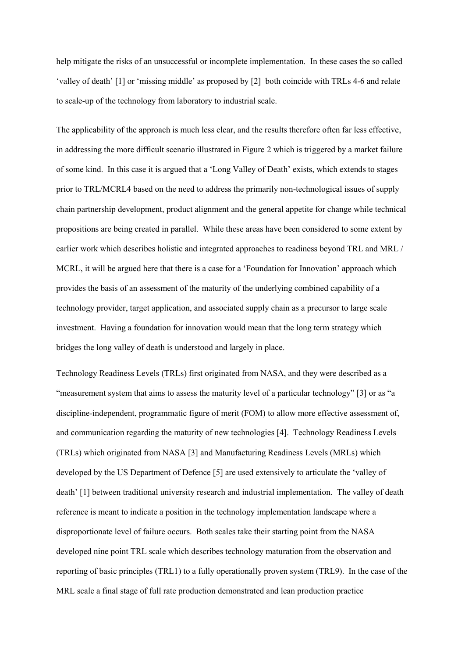help mitigate the risks of an unsuccessful or incomplete implementation. In these cases the so called 'valley of death' [1] or 'missing middle' as proposed by [2] both coincide with TRLs 4-6 and relate to scale-up of the technology from laboratory to industrial scale.

The applicability of the approach is much less clear, and the results therefore often far less effective, in addressing the more difficult scenario illustrated in Figure 2 which is triggered by a market failure of some kind. In this case it is argued that a 'Long Valley of Death' exists, which extends to stages prior to TRL/MCRL4 based on the need to address the primarily non-technological issues of supply chain partnership development, product alignment and the general appetite for change while technical propositions are being created in parallel. While these areas have been considered to some extent by earlier work which describes holistic and integrated approaches to readiness beyond TRL and MRL / MCRL, it will be argued here that there is a case for a 'Foundation for Innovation' approach which provides the basis of an assessment of the maturity of the underlying combined capability of a technology provider, target application, and associated supply chain as a precursor to large scale investment. Having a foundation for innovation would mean that the long term strategy which bridges the long valley of death is understood and largely in place.

Technology Readiness Levels (TRLs) first originated from NASA, and they were described as a "measurement system that aims to assess the maturity level of a particular technology" [3] or as "a discipline-independent, programmatic figure of merit (FOM) to allow more effective assessment of, and communication regarding the maturity of new technologies [4]. Technology Readiness Levels (TRLs) which originated from NASA [3] and Manufacturing Readiness Levels (MRLs) which developed by the US Department of Defence [5] are used extensively to articulate the 'valley of death' [1] between traditional university research and industrial implementation. The valley of death reference is meant to indicate a position in the technology implementation landscape where a disproportionate level of failure occurs. Both scales take their starting point from the NASA developed nine point TRL scale which describes technology maturation from the observation and reporting of basic principles (TRL1) to a fully operationally proven system (TRL9). In the case of the MRL scale a final stage of full rate production demonstrated and lean production practice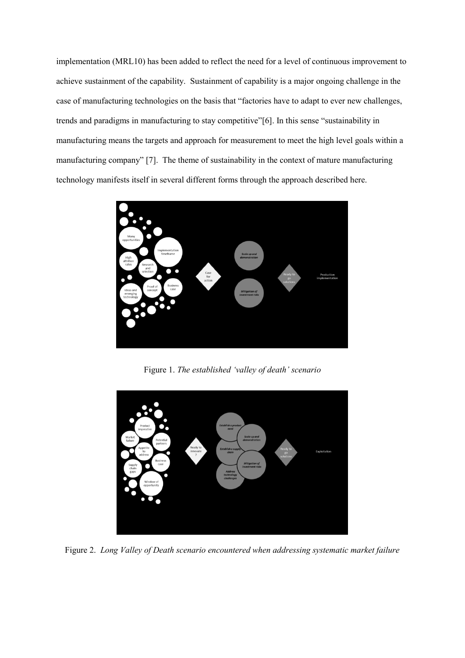implementation (MRL10) has been added to reflect the need for a level of continuous improvement to achieve sustainment of the capability. Sustainment of capability is a major ongoing challenge in the case of manufacturing technologies on the basis that "factories have to adapt to ever new challenges, trends and paradigms in manufacturing to stay competitive"[6]. In this sense "sustainability in manufacturing means the targets and approach for measurement to meet the high level goals within a manufacturing company" [7]. The theme of sustainability in the context of mature manufacturing technology manifests itself in several different forms through the approach described here.



Figure 1. *The established 'valley of death' scenario*



Figure 2. *Long Valley of Death scenario encountered when addressing systematic market failure*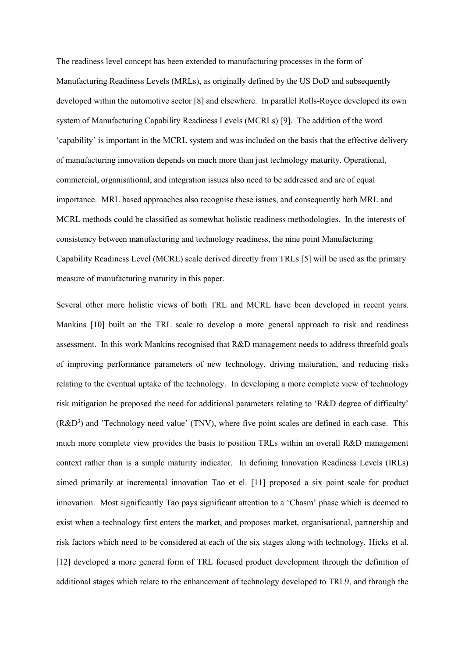The readiness level concept has been extended to manufacturing processes in the form of Manufacturing Readiness Levels (MRLs), as originally defined by the US DoD and subsequently developed within the automotive sector [8] and elsewhere. In parallel Rolls-Royce developed its own system of Manufacturing Capability Readiness Levels (MCRLs) [9]. The addition of the word 'capability' is important in the MCRL system and was included on the basis that the effective delivery of manufacturing innovation depends on much more than just technology maturity. Operational, commercial, organisational, and integration issues also need to be addressed and are of equal importance. MRL based approaches also recognise these issues, and consequently both MRL and MCRL methods could be classified as somewhat holistic readiness methodologies. In the interests of consistency between manufacturing and technology readiness, the nine point Manufacturing Capability Readiness Level (MCRL) scale derived directly from TRLs [5] will be used as the primary measure of manufacturing maturity in this paper.

Several other more holistic views of both TRL and MCRL have been developed in recent years. Mankins [10] built on the TRL scale to develop a more general approach to risk and readiness assessment. In this work Mankins recognised that R&D management needs to address threefold goals of improving performance parameters of new technology, driving maturation, and reducing risks relating to the eventual uptake of the technology. In developing a more complete view of technology risk mitigation he proposed the need for additional parameters relating to 'R&D degree of difficulty'  $(R&D^3)$  and 'Technology need value' (TNV), where five point scales are defined in each case. This much more complete view provides the basis to position TRLs within an overall R&D management context rather than is a simple maturity indicator. In defining Innovation Readiness Levels (IRLs) aimed primarily at incremental innovation Tao et el. [11] proposed a six point scale for product innovation. Most significantly Tao pays significant attention to a 'Chasm' phase which is deemed to exist when a technology first enters the market, and proposes market, organisational, partnership and risk factors which need to be considered at each of the six stages along with technology. Hicks et al. [12] developed a more general form of TRL focused product development through the definition of additional stages which relate to the enhancement of technology developed to TRL9, and through the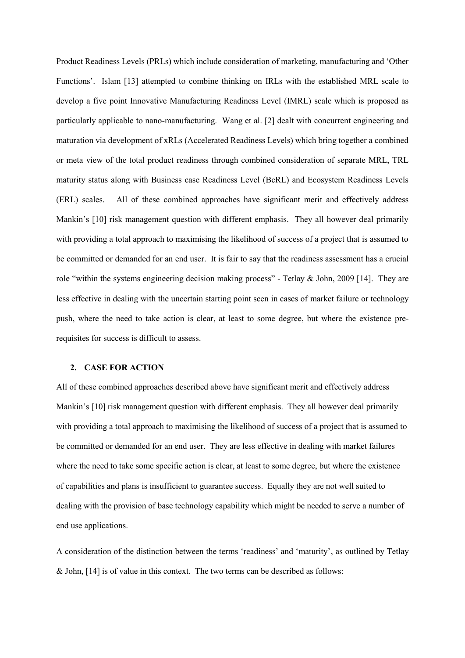Product Readiness Levels (PRLs) which include consideration of marketing, manufacturing and 'Other Functions'. Islam [13] attempted to combine thinking on IRLs with the established MRL scale to develop a five point Innovative Manufacturing Readiness Level (IMRL) scale which is proposed as particularly applicable to nano-manufacturing. Wang et al. [2] dealt with concurrent engineering and maturation via development of xRLs (Accelerated Readiness Levels) which bring together a combined or meta view of the total product readiness through combined consideration of separate MRL, TRL maturity status along with Business case Readiness Level (BcRL) and Ecosystem Readiness Levels (ERL) scales. All of these combined approaches have significant merit and effectively address Mankin's [10] risk management question with different emphasis. They all however deal primarily with providing a total approach to maximising the likelihood of success of a project that is assumed to be committed or demanded for an end user. It is fair to say that the readiness assessment has a crucial role "within the systems engineering decision making process" - Tetlay & John, 2009 [14]. They are less effective in dealing with the uncertain starting point seen in cases of market failure or technology push, where the need to take action is clear, at least to some degree, but where the existence prerequisites for success is difficult to assess.

## **2. CASE FOR ACTION**

All of these combined approaches described above have significant merit and effectively address Mankin's [10] risk management question with different emphasis. They all however deal primarily with providing a total approach to maximising the likelihood of success of a project that is assumed to be committed or demanded for an end user. They are less effective in dealing with market failures where the need to take some specific action is clear, at least to some degree, but where the existence of capabilities and plans is insufficient to guarantee success. Equally they are not well suited to dealing with the provision of base technology capability which might be needed to serve a number of end use applications.

A consideration of the distinction between the terms 'readiness' and 'maturity', as outlined by Tetlay & John, [14] is of value in this context. The two terms can be described as follows: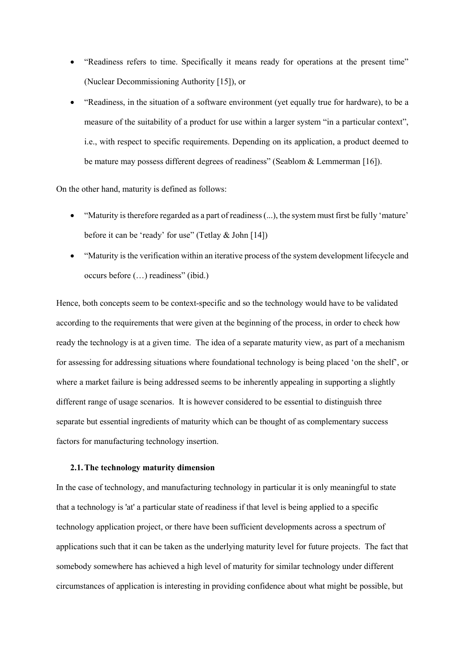- "Readiness refers to time. Specifically it means ready for operations at the present time" (Nuclear Decommissioning Authority [15]), or
- "Readiness, in the situation of a software environment (yet equally true for hardware), to be a measure of the suitability of a product for use within a larger system "in a particular context", i.e., with respect to specific requirements. Depending on its application, a product deemed to be mature may possess different degrees of readiness" (Seablom & Lemmerman [16]).

On the other hand, maturity is defined as follows:

- "Maturity is therefore regarded as a part of readiness (...), the system must first be fully 'mature' before it can be 'ready' for use" (Tetlay & John [14])
- "Maturity is the verification within an iterative process of the system development lifecycle and occurs before (…) readiness" (ibid.)

Hence, both concepts seem to be context-specific and so the technology would have to be validated according to the requirements that were given at the beginning of the process, in order to check how ready the technology is at a given time. The idea of a separate maturity view, as part of a mechanism for assessing for addressing situations where foundational technology is being placed 'on the shelf', or where a market failure is being addressed seems to be inherently appealing in supporting a slightly different range of usage scenarios. It is however considered to be essential to distinguish three separate but essential ingredients of maturity which can be thought of as complementary success factors for manufacturing technology insertion.

## **2.1.The technology maturity dimension**

In the case of technology, and manufacturing technology in particular it is only meaningful to state that a technology is 'at' a particular state of readiness if that level is being applied to a specific technology application project, or there have been sufficient developments across a spectrum of applications such that it can be taken as the underlying maturity level for future projects. The fact that somebody somewhere has achieved a high level of maturity for similar technology under different circumstances of application is interesting in providing confidence about what might be possible, but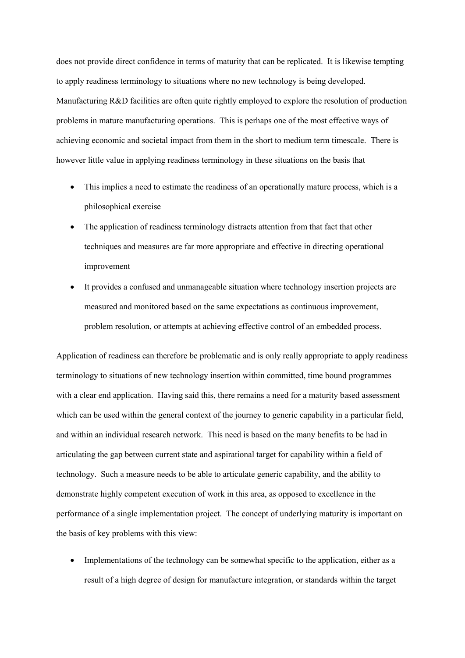does not provide direct confidence in terms of maturity that can be replicated. It is likewise tempting to apply readiness terminology to situations where no new technology is being developed. Manufacturing R&D facilities are often quite rightly employed to explore the resolution of production problems in mature manufacturing operations. This is perhaps one of the most effective ways of achieving economic and societal impact from them in the short to medium term timescale. There is however little value in applying readiness terminology in these situations on the basis that

- This implies a need to estimate the readiness of an operationally mature process, which is a philosophical exercise
- The application of readiness terminology distracts attention from that fact that other techniques and measures are far more appropriate and effective in directing operational improvement
- It provides a confused and unmanageable situation where technology insertion projects are measured and monitored based on the same expectations as continuous improvement, problem resolution, or attempts at achieving effective control of an embedded process.

Application of readiness can therefore be problematic and is only really appropriate to apply readiness terminology to situations of new technology insertion within committed, time bound programmes with a clear end application. Having said this, there remains a need for a maturity based assessment which can be used within the general context of the journey to generic capability in a particular field, and within an individual research network. This need is based on the many benefits to be had in articulating the gap between current state and aspirational target for capability within a field of technology. Such a measure needs to be able to articulate generic capability, and the ability to demonstrate highly competent execution of work in this area, as opposed to excellence in the performance of a single implementation project. The concept of underlying maturity is important on the basis of key problems with this view:

• Implementations of the technology can be somewhat specific to the application, either as a result of a high degree of design for manufacture integration, or standards within the target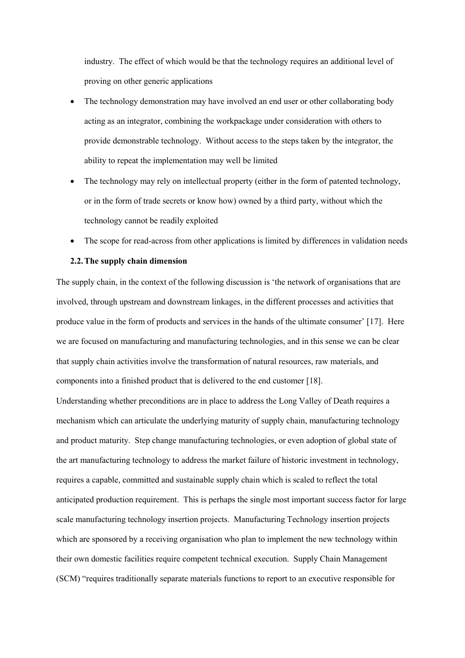industry. The effect of which would be that the technology requires an additional level of proving on other generic applications

- The technology demonstration may have involved an end user or other collaborating body acting as an integrator, combining the workpackage under consideration with others to provide demonstrable technology. Without access to the steps taken by the integrator, the ability to repeat the implementation may well be limited
- The technology may rely on intellectual property (either in the form of patented technology, or in the form of trade secrets or know how) owned by a third party, without which the technology cannot be readily exploited
- The scope for read-across from other applications is limited by differences in validation needs

## **2.2.The supply chain dimension**

The supply chain, in the context of the following discussion is 'the network of organisations that are involved, through upstream and downstream linkages, in the different processes and activities that produce value in the form of products and services in the hands of the ultimate consumer' [17]. Here we are focused on manufacturing and manufacturing technologies, and in this sense we can be clear that supply chain activities involve the transformation of natural resources, raw materials, and components into a finished product that is delivered to the end customer [18].

Understanding whether preconditions are in place to address the Long Valley of Death requires a mechanism which can articulate the underlying maturity of supply chain, manufacturing technology and product maturity. Step change manufacturing technologies, or even adoption of global state of the art manufacturing technology to address the market failure of historic investment in technology, requires a capable, committed and sustainable supply chain which is scaled to reflect the total anticipated production requirement. This is perhaps the single most important success factor for large scale manufacturing technology insertion projects. Manufacturing Technology insertion projects which are sponsored by a receiving organisation who plan to implement the new technology within their own domestic facilities require competent technical execution. Supply Chain Management (SCM) "requires traditionally separate materials functions to report to an executive responsible for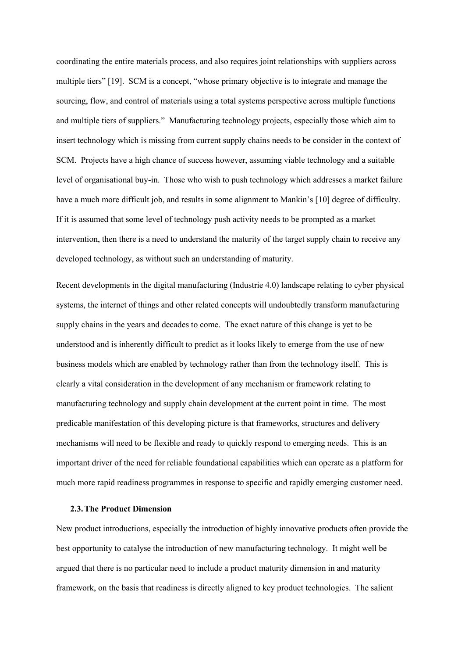coordinating the entire materials process, and also requires joint relationships with suppliers across multiple tiers" [19]. SCM is a concept, "whose primary objective is to integrate and manage the sourcing, flow, and control of materials using a total systems perspective across multiple functions and multiple tiers of suppliers." Manufacturing technology projects, especially those which aim to insert technology which is missing from current supply chains needs to be consider in the context of SCM. Projects have a high chance of success however, assuming viable technology and a suitable level of organisational buy-in. Those who wish to push technology which addresses a market failure have a much more difficult job, and results in some alignment to Mankin's [10] degree of difficulty. If it is assumed that some level of technology push activity needs to be prompted as a market intervention, then there is a need to understand the maturity of the target supply chain to receive any developed technology, as without such an understanding of maturity.

Recent developments in the digital manufacturing (Industrie 4.0) landscape relating to cyber physical systems, the internet of things and other related concepts will undoubtedly transform manufacturing supply chains in the years and decades to come. The exact nature of this change is yet to be understood and is inherently difficult to predict as it looks likely to emerge from the use of new business models which are enabled by technology rather than from the technology itself. This is clearly a vital consideration in the development of any mechanism or framework relating to manufacturing technology and supply chain development at the current point in time. The most predicable manifestation of this developing picture is that frameworks, structures and delivery mechanisms will need to be flexible and ready to quickly respond to emerging needs. This is an important driver of the need for reliable foundational capabilities which can operate as a platform for much more rapid readiness programmes in response to specific and rapidly emerging customer need.

## **2.3.The Product Dimension**

New product introductions, especially the introduction of highly innovative products often provide the best opportunity to catalyse the introduction of new manufacturing technology. It might well be argued that there is no particular need to include a product maturity dimension in and maturity framework, on the basis that readiness is directly aligned to key product technologies. The salient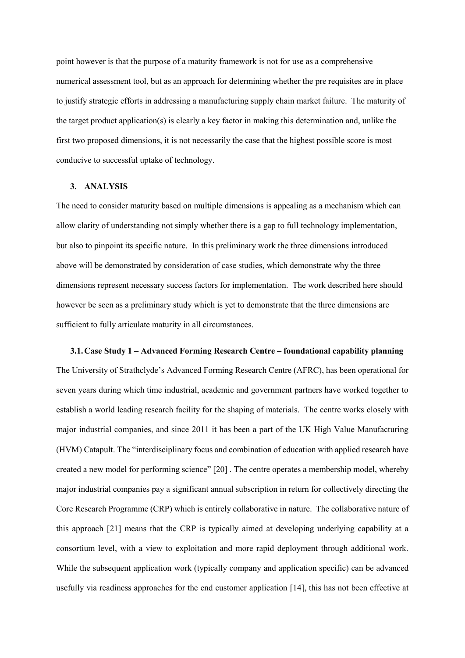point however is that the purpose of a maturity framework is not for use as a comprehensive numerical assessment tool, but as an approach for determining whether the pre requisites are in place to justify strategic efforts in addressing a manufacturing supply chain market failure. The maturity of the target product application(s) is clearly a key factor in making this determination and, unlike the first two proposed dimensions, it is not necessarily the case that the highest possible score is most conducive to successful uptake of technology.

### **3. ANALYSIS**

The need to consider maturity based on multiple dimensions is appealing as a mechanism which can allow clarity of understanding not simply whether there is a gap to full technology implementation, but also to pinpoint its specific nature. In this preliminary work the three dimensions introduced above will be demonstrated by consideration of case studies, which demonstrate why the three dimensions represent necessary success factors for implementation. The work described here should however be seen as a preliminary study which is yet to demonstrate that the three dimensions are sufficient to fully articulate maturity in all circumstances.

**3.1.Case Study 1 – Advanced Forming Research Centre – foundational capability planning** The University of Strathclyde's Advanced Forming Research Centre (AFRC), has been operational for seven years during which time industrial, academic and government partners have worked together to establish a world leading research facility for the shaping of materials. The centre works closely with major industrial companies, and since 2011 it has been a part of the UK High Value Manufacturing (HVM) Catapult. The "interdisciplinary focus and combination of education with applied research have created a new model for performing science" [20] . The centre operates a membership model, whereby major industrial companies pay a significant annual subscription in return for collectively directing the Core Research Programme (CRP) which is entirely collaborative in nature. The collaborative nature of this approach [21] means that the CRP is typically aimed at developing underlying capability at a consortium level, with a view to exploitation and more rapid deployment through additional work. While the subsequent application work (typically company and application specific) can be advanced usefully via readiness approaches for the end customer application [14], this has not been effective at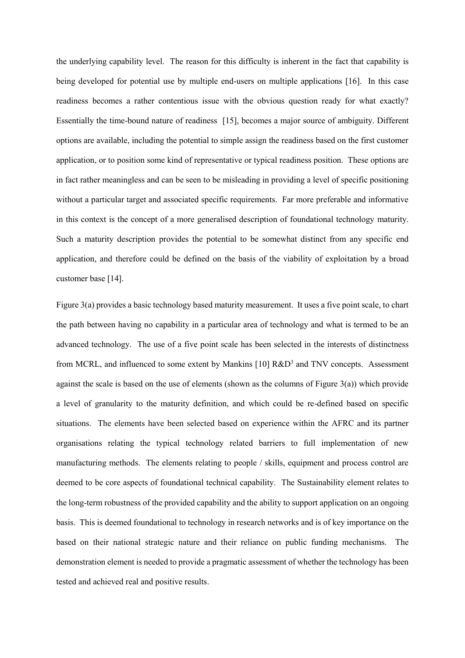the underlying capability level. The reason for this difficulty is inherent in the fact that capability is being developed for potential use by multiple end-users on multiple applications [16]. In this case readiness becomes a rather contentious issue with the obvious question ready for what exactly? Essentially the time-bound nature of readiness [15], becomes a major source of ambiguity. Different options are available, including the potential to simple assign the readiness based on the first customer application, or to position some kind of representative or typical readiness position. These options are in fact rather meaningless and can be seen to be misleading in providing a level of specific positioning without a particular target and associated specific requirements. Far more preferable and informative in this context is the concept of a more generalised description of foundational technology maturity. Such a maturity description provides the potential to be somewhat distinct from any specific end application, and therefore could be defined on the basis of the viability of exploitation by a broad customer base [14].

Figure 3(a) provides a basic technology based maturity measurement. It uses a five point scale, to chart the path between having no capability in a particular area of technology and what is termed to be an advanced technology. The use of a five point scale has been selected in the interests of distinctness from MCRL, and influenced to some extent by Mankins [10] R&D<sup>3</sup> and TNV concepts. Assessment against the scale is based on the use of elements (shown as the columns of Figure 3(a)) which provide a level of granularity to the maturity definition, and which could be re-defined based on specific situations. The elements have been selected based on experience within the AFRC and its partner organisations relating the typical technology related barriers to full implementation of new manufacturing methods. The elements relating to people / skills, equipment and process control are deemed to be core aspects of foundational technical capability. The Sustainability element relates to the long-term robustness of the provided capability and the ability to support application on an ongoing basis. This is deemed foundational to technology in research networks and is of key importance on the based on their national strategic nature and their reliance on public funding mechanisms. The demonstration element is needed to provide a pragmatic assessment of whether the technology has been tested and achieved real and positive results.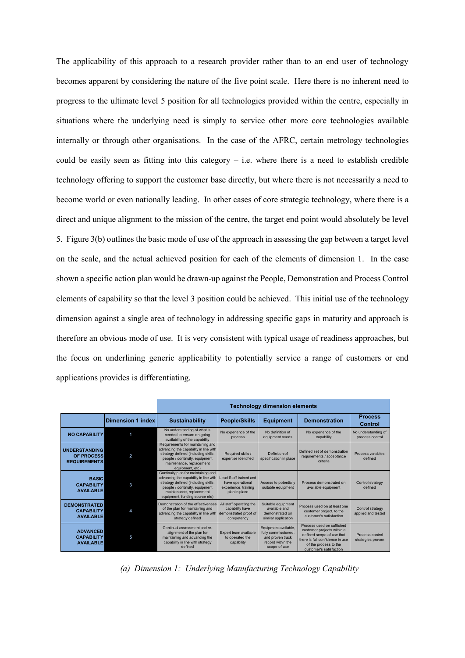The applicability of this approach to a research provider rather than to an end user of technology becomes apparent by considering the nature of the five point scale. Here there is no inherent need to progress to the ultimate level 5 position for all technologies provided within the centre, especially in situations where the underlying need is simply to service other more core technologies available internally or through other organisations. In the case of the AFRC, certain metrology technologies could be easily seen as fitting into this category  $-$  i.e. where there is a need to establish credible technology offering to support the customer base directly, but where there is not necessarily a need to become world or even nationally leading. In other cases of core strategic technology, where there is a direct and unique alignment to the mission of the centre, the target end point would absolutely be level 5. Figure 3(b) outlines the basic mode of use of the approach in assessing the gap between a target level on the scale, and the actual achieved position for each of the elements of dimension 1. In the case shown a specific action plan would be drawn-up against the People, Demonstration and Process Control elements of capability so that the level 3 position could be achieved. This initial use of the technology dimension against a single area of technology in addressing specific gaps in maturity and approach is therefore an obvious mode of use. It is very consistent with typical usage of readiness approaches, but the focus on underlining generic applicability to potentially service a range of customers or end applications provides is differentiating.

|                                                              |                          | <b>Technology dimension elements</b>                                                                                                                                                                                |                                                                                     |                                                                                                      |                                                                                                                                                                              |                                        |  |  |  |  |  |
|--------------------------------------------------------------|--------------------------|---------------------------------------------------------------------------------------------------------------------------------------------------------------------------------------------------------------------|-------------------------------------------------------------------------------------|------------------------------------------------------------------------------------------------------|------------------------------------------------------------------------------------------------------------------------------------------------------------------------------|----------------------------------------|--|--|--|--|--|
|                                                              | <b>Dimension 1 index</b> | <b>Sustainability</b>                                                                                                                                                                                               | <b>People/Skills</b>                                                                | <b>Equipment</b>                                                                                     | <b>Demonstration</b>                                                                                                                                                         | <b>Process</b><br><b>Control</b>       |  |  |  |  |  |
| <b>NO CAPABILITY</b>                                         | и                        | No understanding of what is<br>needed to ensure on-going<br>availability of the capability                                                                                                                          | No experience of the<br>process                                                     | No definition of<br>equipment needs                                                                  | No experience of the<br>capability                                                                                                                                           | No understanding of<br>process control |  |  |  |  |  |
| <b>UNDERSTANDING</b><br>OF PROCESS<br><b>REQUIREMENTS</b>    | 2                        | Requirements for maintaining and<br>advancing the capability in line with<br>strategy defined (including skills,<br>people / continuity, equipment<br>maintenance, replacement<br>equipment, etc)                   | Required skills /<br>expertise identified                                           | Definition of<br>specification in place                                                              | Defined set of demonstration<br>requirements / acceptance<br>criteria                                                                                                        | Process variables<br>defined           |  |  |  |  |  |
| <b>BASIC</b><br><b>CAPABILITY</b><br><b>AVAILABLE</b>        | 3                        | Continuity plan for maintaining and<br>advancing the capability in line with<br>strategy defined (including skills,<br>people / continuity, equipment<br>maintenance, replacement<br>equipment, funding source etc) | Lead Staff trained and<br>have operational<br>experience, training<br>plan in place | Access to potentially<br>suitable equipment                                                          | Process demonstrated on<br>available equipment                                                                                                                               | Control strategy<br>defined            |  |  |  |  |  |
| <b>DEMONSTRATED</b><br><b>CAPABILITY</b><br><b>AVAILABLE</b> |                          | Demonstration of the effectiveness<br>of the plan for maintaining and<br>advancing the capability in line with<br>strategy defined                                                                                  | All staff operating the<br>capability have<br>demonstrated proof of<br>competency   | Suitable equipment<br>available and<br>demonstrated on<br>similar application                        | Process used on at least one<br>customer project, to the<br>customer's satisfaction                                                                                          | Control strategy<br>applied and tested |  |  |  |  |  |
| <b>ADVANCED</b><br><b>CAPABILITY</b><br><b>AVAILABLE</b>     | 5                        | Continual assessment and re-<br>alignment of the plan for<br>maintaining and advancing the<br>capability in line with strategy<br>defined                                                                           | Expert team available<br>to operated the<br>capability                              | Equipment available,<br>fully commissioned.<br>and proven track<br>record within the<br>scope of use | Process used on sufficient<br>customer projects within a<br>defined scope of use that<br>there is full confidence in use<br>of the process to the<br>customer's satisfaction | Process control<br>strategies proven   |  |  |  |  |  |

*(a) Dimension 1: Underlying Manufacturing Technology Capability*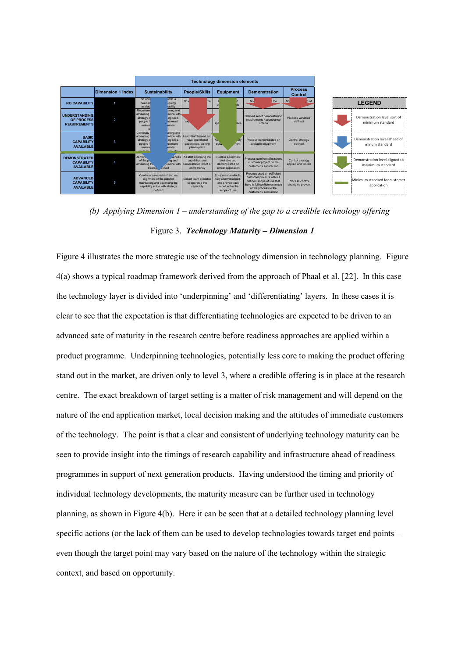

*(b) Applying Dimension 1 – understanding of the gap to a credible technology offering* Figure 3. *Technology Maturity – Dimension 1* 

Figure 4 illustrates the more strategic use of the technology dimension in technology planning. Figure 4(a) shows a typical roadmap framework derived from the approach of Phaal et al. [22]. In this case the technology layer is divided into 'underpinning' and 'differentiating' layers. In these cases it is clear to see that the expectation is that differentiating technologies are expected to be driven to an advanced sate of maturity in the research centre before readiness approaches are applied within a product programme. Underpinning technologies, potentially less core to making the product offering stand out in the market, are driven only to level 3, where a credible offering is in place at the research centre. The exact breakdown of target setting is a matter of risk management and will depend on the nature of the end application market, local decision making and the attitudes of immediate customers of the technology. The point is that a clear and consistent of underlying technology maturity can be seen to provide insight into the timings of research capability and infrastructure ahead of readiness programmes in support of next generation products. Having understood the timing and priority of individual technology developments, the maturity measure can be further used in technology planning, as shown in Figure 4(b). Here it can be seen that at a detailed technology planning level specific actions (or the lack of them can be used to develop technologies towards target end points – even though the target point may vary based on the nature of the technology within the strategic context, and based on opportunity.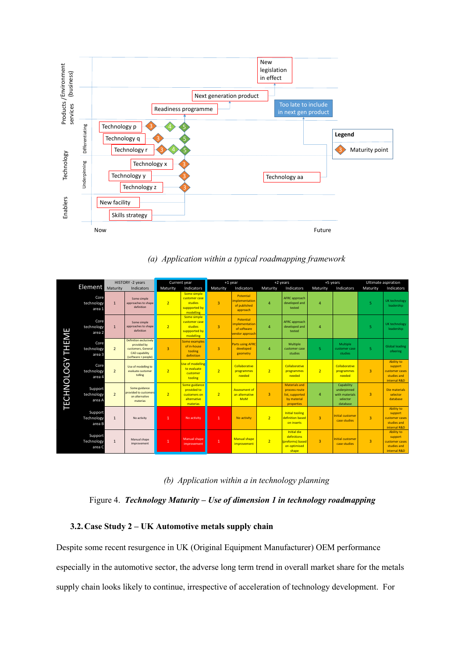

*(a) Application within a typical roadmapping framework*

| HISTORY -2 years        |                                 | Current year   |                                                                                                             | +1 year        |                                                                         | +2 years       |                                                                      | +5 years       |                                                                                       | Ultimate aspiration |                                                                     |                |                                                                               |
|-------------------------|---------------------------------|----------------|-------------------------------------------------------------------------------------------------------------|----------------|-------------------------------------------------------------------------|----------------|----------------------------------------------------------------------|----------------|---------------------------------------------------------------------------------------|---------------------|---------------------------------------------------------------------|----------------|-------------------------------------------------------------------------------|
|                         | <b>Element</b> Maturity         |                | Indicators                                                                                                  | Maturity       | Indicators                                                              | Maturity       | Indicators                                                           | Maturity       | Indicators                                                                            | Maturity            | Indicators                                                          | Maturity       | Indicators                                                                    |
|                         | Core<br>technology<br>area 1    | $\mathbf{1}$   | Some simple<br>approaches to shape<br>definition                                                            | $\overline{2}$ | Some simple<br>customer case<br>studies<br>suppported by<br>modelling   | $\overline{3}$ | Potential<br><b>implementation</b><br>of published<br>approach       | $\overline{4}$ | AFRC approach<br>developed and<br>tested                                              | 4                   |                                                                     | 5              | UK technology<br>leadership                                                   |
|                         | Core<br>technology<br>area 2    | $\mathbf{1}$   | Some simple<br>approaches to shape<br>definition                                                            | $\overline{2}$ | Some simple<br>customer case<br>studies<br>suppported by<br>modelling   | $\overline{3}$ | Potential<br><i>implementation</i><br>of software<br>vendor approach | $\overline{4}$ | AFRC approach<br>developed and<br>tested                                              | 4                   |                                                                     | 5              | UK technology<br>leadership                                                   |
|                         | Core<br>technology<br>area 3    | $\overline{2}$ | <b>Definition exclusively</b><br>provided by<br>customers, General<br>CAD capability<br>(software + people) | $\overline{3}$ | Some examples<br>of in-house<br>tooling<br>definition                   | $\overline{3}$ | <b>Parts using AFRC</b><br>developed<br>geometry                     | $\overline{4}$ | Multiple<br>customer case<br>studies                                                  | 5                   | Multiple<br>customer case<br><b>studies</b>                         | 5              | <b>Global leading</b><br>ofeering                                             |
|                         | Core<br>technology<br>area 4    | $\overline{2}$ | Use of modelling to<br>evaluate customer<br>tolling                                                         | $\overline{2}$ | Use of modelling<br>to evaluate<br>customer<br>tooling                  | $\overline{2}$ | Collaborative<br>programmes<br>needed                                | $\overline{2}$ | Collaborative<br>programmes<br>needed                                                 | $\overline{2}$      | Collaborative<br>programmes<br>needed                               | $\overline{3}$ | <b>Ability to</b><br>support<br>customer cases<br>studies and<br>internal R&D |
| <b>TECHNOLOGY THEME</b> | Support<br>technology<br>area A | $\overline{2}$ | Some guidance<br>provided to customers<br>on alternative<br>materias                                        | $\overline{2}$ | Some guidance<br>provided to<br>customers on<br>alternative<br>materias | $\overline{2}$ | <b>Assessment of</b><br>an alternative<br><b>MoM</b>                 | $\overline{3}$ | <b>Materials and</b><br>process route<br>list, supported<br>by material<br>properties | 4                   | Capability<br>underpinned<br>with materials<br>selector<br>database | $\overline{3}$ | Die materials<br>selector<br>database                                         |
|                         | Support<br>Technology<br>area B | $\mathbf{1}$   | No activity                                                                                                 | $\mathbf{1}$   | No activity                                                             | 1              | No activity                                                          | $\overline{2}$ | Initial tooling<br>definition based<br>on inserts                                     | 3                   | <b>Initial customer</b><br>case studies                             | $\overline{3}$ | <b>Ability to</b><br>support<br>customer cases<br>studies and<br>internal R&D |
|                         | Support<br>Technology<br>area C | $\mathbf{1}$   | Manual shape<br>improvement                                                                                 | $\mathbf{1}$   | <b>Manual shape</b><br>improvement                                      | 1              | <b>Manual shape</b><br>improvement                                   | $\overline{2}$ | <b>Initial die</b><br>definitions<br>(preforms) based<br>on optimised<br>shape        | $\overline{3}$      | <b>Initial customer</b><br>case studies                             | $\overline{3}$ | <b>Ability to</b><br>support<br>customer cases<br>studies and<br>internal R&D |

## *(b) Application within a in technology planning*

## Figure 4. *Technology Maturity – Use of dimension 1 in technology roadmapping*

## **3.2.Case Study 2 – UK Automotive metals supply chain**

Despite some recent resurgence in UK (Original Equipment Manufacturer) OEM performance especially in the automotive sector, the adverse long term trend in overall market share for the metals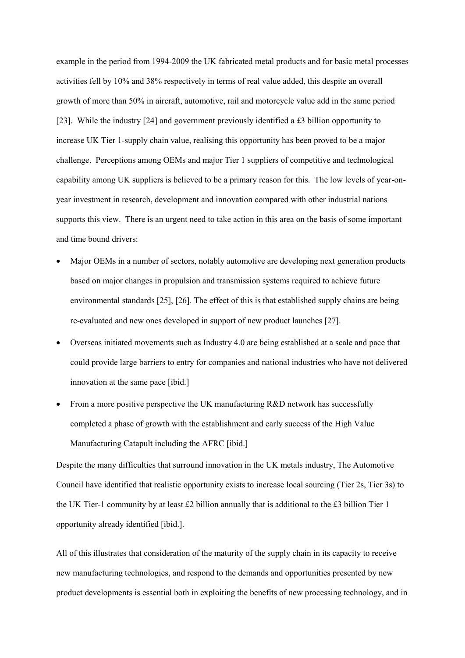example in the period from 1994-2009 the UK fabricated metal products and for basic metal processes activities fell by 10% and 38% respectively in terms of real value added, this despite an overall growth of more than 50% in aircraft, automotive, rail and motorcycle value add in the same period [23]. While the industry [24] and government previously identified a £3 billion opportunity to increase UK Tier 1-supply chain value, realising this opportunity has been proved to be a major challenge. Perceptions among OEMs and major Tier 1 suppliers of competitive and technological capability among UK suppliers is believed to be a primary reason for this. The low levels of year-onyear investment in research, development and innovation compared with other industrial nations supports this view. There is an urgent need to take action in this area on the basis of some important and time bound drivers:

- Major OEMs in a number of sectors, notably automotive are developing next generation products based on major changes in propulsion and transmission systems required to achieve future environmental standards [25], [26]. The effect of this is that established supply chains are being re-evaluated and new ones developed in support of new product launches [27].
- Overseas initiated movements such as Industry 4.0 are being established at a scale and pace that could provide large barriers to entry for companies and national industries who have not delivered innovation at the same pace [ibid.]
- From a more positive perspective the UK manufacturing R&D network has successfully completed a phase of growth with the establishment and early success of the High Value Manufacturing Catapult including the AFRC [ibid.]

Despite the many difficulties that surround innovation in the UK metals industry, The Automotive Council have identified that realistic opportunity exists to increase local sourcing (Tier 2s, Tier 3s) to the UK Tier-1 community by at least £2 billion annually that is additional to the £3 billion Tier 1 opportunity already identified [ibid.].

All of this illustrates that consideration of the maturity of the supply chain in its capacity to receive new manufacturing technologies, and respond to the demands and opportunities presented by new product developments is essential both in exploiting the benefits of new processing technology, and in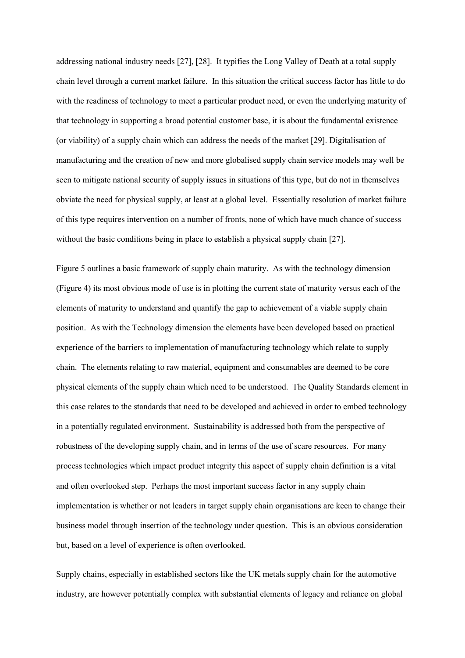addressing national industry needs [27], [28]. It typifies the Long Valley of Death at a total supply chain level through a current market failure. In this situation the critical success factor has little to do with the readiness of technology to meet a particular product need, or even the underlying maturity of that technology in supporting a broad potential customer base, it is about the fundamental existence (or viability) of a supply chain which can address the needs of the market [29]. Digitalisation of manufacturing and the creation of new and more globalised supply chain service models may well be seen to mitigate national security of supply issues in situations of this type, but do not in themselves obviate the need for physical supply, at least at a global level. Essentially resolution of market failure of this type requires intervention on a number of fronts, none of which have much chance of success without the basic conditions being in place to establish a physical supply chain [27].

Figure 5 outlines a basic framework of supply chain maturity. As with the technology dimension (Figure 4) its most obvious mode of use is in plotting the current state of maturity versus each of the elements of maturity to understand and quantify the gap to achievement of a viable supply chain position. As with the Technology dimension the elements have been developed based on practical experience of the barriers to implementation of manufacturing technology which relate to supply chain. The elements relating to raw material, equipment and consumables are deemed to be core physical elements of the supply chain which need to be understood. The Quality Standards element in this case relates to the standards that need to be developed and achieved in order to embed technology in a potentially regulated environment. Sustainability is addressed both from the perspective of robustness of the developing supply chain, and in terms of the use of scare resources. For many process technologies which impact product integrity this aspect of supply chain definition is a vital and often overlooked step. Perhaps the most important success factor in any supply chain implementation is whether or not leaders in target supply chain organisations are keen to change their business model through insertion of the technology under question. This is an obvious consideration but, based on a level of experience is often overlooked.

Supply chains, especially in established sectors like the UK metals supply chain for the automotive industry, are however potentially complex with substantial elements of legacy and reliance on global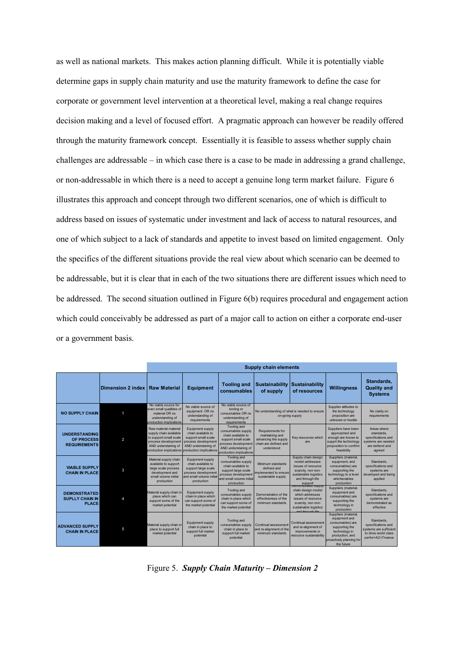as well as national markets. This makes action planning difficult. While it is potentially viable determine gaps in supply chain maturity and use the maturity framework to define the case for corporate or government level intervention at a theoretical level, making a real change requires decision making and a level of focused effort. A pragmatic approach can however be readily offered through the maturity framework concept. Essentially it is feasible to assess whether supply chain challenges are addressable – in which case there is a case to be made in addressing a grand challenge, or non-addressable in which there is a need to accept a genuine long term market failure. Figure 6 illustrates this approach and concept through two different scenarios, one of which is difficult to address based on issues of systematic under investment and lack of access to natural resources, and one of which subject to a lack of standards and appetite to invest based on limited engagement. Only the specifics of the different situations provide the real view about which scenario can be deemed to be addressable, but it is clear that in each of the two situations there are different issues which need to be addressed. The second situation outlined in Figure 6(b) requires procedural and engagement action which could conceivably be addressed as part of a major call to action on either a corporate end-user or a government basis.

|                                                                  | Dimension 2 index       | <b>Raw Material</b>                                                                                                           | <b>Equipment</b>                                                                                                                                               | <b>Tooling and</b><br>consumables                                                                                                                              | <b>Sustainability</b><br>of supply                                                                 | <b>Sustainability</b><br>of resources                                                                                                                             | <b>Willingness</b>                                                                                                                                        | Standards,<br><b>Quality and</b><br><b>Systems</b>                                                      |
|------------------------------------------------------------------|-------------------------|-------------------------------------------------------------------------------------------------------------------------------|----------------------------------------------------------------------------------------------------------------------------------------------------------------|----------------------------------------------------------------------------------------------------------------------------------------------------------------|----------------------------------------------------------------------------------------------------|-------------------------------------------------------------------------------------------------------------------------------------------------------------------|-----------------------------------------------------------------------------------------------------------------------------------------------------------|---------------------------------------------------------------------------------------------------------|
| <b>NO SUPPLY CHAIN</b>                                           |                         | No viable source for<br>even small qualitites of<br>material OR no<br>understanding of<br>production implications             | No viable source of<br>equipment OR no<br>understanding of<br>requirements                                                                                     | No viable source of<br>tooling or<br>consumables OR no<br>understanding of<br>requirements                                                                     |                                                                                                    | No understanding of what is needed to ensure<br>on-going supply                                                                                                   | Supplier attitudes to<br>the technology<br>proposition are<br>unknown or hostile                                                                          | No clarity on<br>requirements                                                                           |
| <b>UNDERSTANDING</b><br><b>OF PROCESS</b><br><b>REQUIREMENTS</b> | $\overline{\mathbf{2}}$ | Raw material material<br>supply chain available<br>to support small scale<br>process development<br>AND understaning of       | Equipment supply<br>chain available to<br>support small scale<br>process development<br>AND understaning of<br>production implications production implications | <b>Tooling and</b><br>consumables supply<br>chain available to<br>support small scale<br>process development<br>AND understaning of<br>production implications | Requirements for<br>maintaining and<br>advancing the supply<br>chain are defined and<br>understood | Key resources which<br>are.                                                                                                                                       | Suppliers have been<br>approached and<br>enough are known to<br>supprt the technology<br>proposition to confirm<br>feasibility                            | Areas where<br>standards.<br>specifications and<br>systems are needed<br>are defiend and<br>agreed      |
| <b>VIABLE SUPPLY</b><br><b>CHAIN IN PLACE</b>                    | 3                       | Material supply chain<br>available to support<br>large scale process<br>development and<br>small volume initial<br>production | Equipment supply<br>chain available to<br>support large scale<br>process development<br>and small volume initial<br>production                                 | Tooling and<br>consumables supply<br>chain available to<br>support large scale<br>process development<br>and small volume initial<br>production                | Minimum standards<br>defined and<br>implemented to ensure<br>sustainable supply                    | Supply chain design<br>model addresses<br>issues of resource<br>scarcity, non non-<br>sustainable logistics<br>and through life<br>support<br>Demonstrated supply | Suppliers (material,<br>equipment, and<br>consumables) are<br>supporting the<br>technology to a level<br>whichenables<br>production                       | Standards.<br>specifications and<br>systems are<br>developed and being<br>applied                       |
| <b>DEMONSTRATED</b><br><b>SUPLLY CHAIN IN</b><br><b>PLACE</b>    | 4                       | Material supply chain in<br>place which can<br>support some of the<br>market potential                                        | Equipment supply<br>chain in place which<br>can support some of<br>the market potential                                                                        | Tooling and<br>consumables supply<br>chain in place which<br>can support some of<br>the market potential                                                       | Demonstration of the<br>effectiveness of the<br>minimum standards                                  | chain design model<br>which addresses<br>issues of resource<br>scarcity, non non-<br>sustainable logistics<br>and through life                                    | Suppliers (material,<br>equipment and<br>consumables) are<br>supporting the<br>technology in<br>production                                                | Standards.<br>specifications and<br>systems are<br>demonstrated as<br>effective                         |
| <b>ADVANCED SUPPLY</b><br><b>CHAIN IN PLACE</b>                  | 5                       | Material supply chain in<br>place to support full<br>market potential                                                         | Equipment supply<br>chain in place to<br>support full market<br>potential                                                                                      | Tooling and<br>consumables supply<br>chain in place to<br>support full market<br>potential                                                                     | Continual assessment<br>and re-alignment of the<br>minimum standards                               | Continual assessment<br>and re-alignment of<br>improvements in<br>resource sustainability                                                                         | Suppliers (material,<br>equipment and<br>consumables) are<br>supporting the<br>technology in<br>production, and<br>proactively planning for<br>the future | Standards.<br>specifications and<br>systems are sufficient<br>to drive world class<br>perfor+A2:I7mance |

Figure 5. *Supply Chain Maturity – Dimension 2*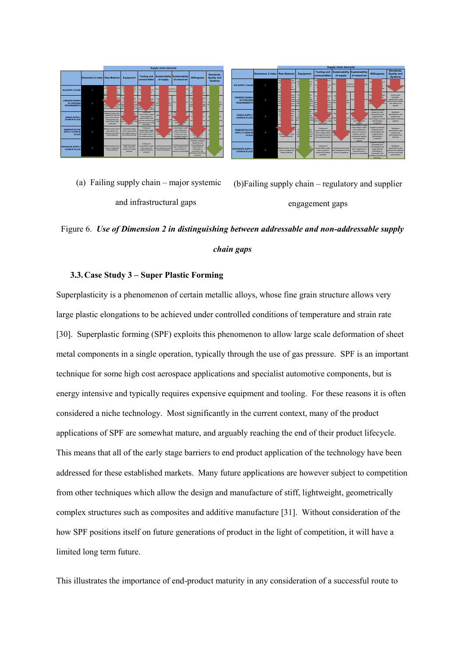|                                                               |                                |                                                                                                                              | <b>Supply chain elements</b>                                                                   |                                                                                                                                                    |                                                                     |                                                                                                           |                                                                                                                                                           |                                                    |  |  |  |
|---------------------------------------------------------------|--------------------------------|------------------------------------------------------------------------------------------------------------------------------|------------------------------------------------------------------------------------------------|----------------------------------------------------------------------------------------------------------------------------------------------------|---------------------------------------------------------------------|-----------------------------------------------------------------------------------------------------------|-----------------------------------------------------------------------------------------------------------------------------------------------------------|----------------------------------------------------|--|--|--|
|                                                               | Dimension 2 index Raw Material |                                                                                                                              | Equipment                                                                                      | <b>Tooling and</b><br>consumables                                                                                                                  | <b>Sustainability</b><br>of supply                                  | <b>Sustainability</b><br>of resources                                                                     | <b>Willingness</b>                                                                                                                                        | Standards.<br><b>Quality and</b><br><b>Systems</b> |  |  |  |
| <b>NO SUPPLY CHAIN</b>                                        |                                | <b>I</b> for<br>W.<br><br>ex c<br>b<br>u<br><b>CONTRACTOR</b>                                                                | No<br>of<br>D<br>ro<br>V                                                                       | a of<br>N.<br>cor<br>Rino<br>ы                                                                                                                     | No u                                                                | of school in a<br>poing supp                                                                              | su.<br>i to                                                                                                                                               |                                                    |  |  |  |
| <b>UNDERSTANDING</b><br>OF PROCESS<br><b>REQUIREMENTS</b>     | ٠                              | Re<br><b>Seriod</b><br>B.<br><b>Francis</b><br>AND.<br>amp of<br>production, implications grod                               | ь<br><b>Participal</b><br>ä<br>3U<br>rent<br><b>AN</b><br>a of<br>Form.                        | cor<br><b>PPF</b><br>œ<br>AND-<br>and of<br>and off.<br><b>Alicadores</b>                                                                          | D.<br>er en<br><b>PV</b><br><b>Hotel</b>                            | Kev<br>e                                                                                                  | Sup<br>ten<br>Fair of<br>eno<br><b>SUCC</b><br>proc                                                                                                       | nd <sub>an</sub><br>$\overline{3}$<br>u            |  |  |  |
| <b>VIABLE SUPPLY</b><br>CHAIN IN PLACE                        | x                              | Material supply chain<br>matishle to support<br>large acale process<br>development and<br>arral volume initial<br>oroduction | b.<br><b>bly</b><br><b>Section</b><br>pro-<br>and an.<br><b>Winds</b><br>pro upon              | Tooling and<br>consumables supply<br>chain available to<br>support large scale<br>process development<br>intimi email volume initial<br>production | ds.<br>Men<br>rok<br><b>SUP</b><br>33.2                             | Sup<br>gs<br>mo<br>sint.<br><b>MAG</b>                                                                    | ×<br>S)<br><b>bref</b><br>tec                                                                                                                             | ind.<br>des.<br><b>kelma</b>                       |  |  |  |
| <b>DEMONSTRATED</b><br><b>SUPLLY CHAIN IN</b><br><b>PLACE</b> | A                              | Material supply chain in<br>place which can<br>support some of the<br>market potential                                       | <b>Douloment supply</b><br>chain in place which<br>can augocri some of<br>the market potential | Tooling and<br>consumables supply<br>chain in place which<br>can support some of<br>the market potential                                           | des.<br>mine.                                                       | chain design model<br>which addresses<br>issues of resource<br>scarcity, non non-<br>sustainable location | e.<br>tech<br>production                                                                                                                                  | m4                                                 |  |  |  |
| <b>ADVANCED SUPPLY</b><br><b>CHAIN IN PLACE</b>               | 5                              | Material supply chain in<br>place to auggest full<br>market potential                                                        | Douisment supply<br>chain in place to<br>support full market<br>potential                      | Tooling and<br>consumables supply<br>chain in place to<br>support full market<br>potential                                                         | Contrast assessment<br>and re-alignment of the<br>minimum standards | Continual assessment<br>and re-allgriment of<br>improvements in<br>vilidente australiano                  | Suppliers (material)<br>equipment and<br>consumables) are<br>supporting the<br>technology in<br>production, and<br>proactively planning for<br>the future | ind.                                               |  |  |  |

|                                                           |                                | <b>Supply chain elements</b>                                                                                                                |                                                                                         |                                                                                                                       |                                                                      |                                                                                                                                                                     |                                                                                                                                                            |                                                                                                           |  |  |
|-----------------------------------------------------------|--------------------------------|---------------------------------------------------------------------------------------------------------------------------------------------|-----------------------------------------------------------------------------------------|-----------------------------------------------------------------------------------------------------------------------|----------------------------------------------------------------------|---------------------------------------------------------------------------------------------------------------------------------------------------------------------|------------------------------------------------------------------------------------------------------------------------------------------------------------|-----------------------------------------------------------------------------------------------------------|--|--|
|                                                           | Dimension 2 index Raw Material |                                                                                                                                             | <b>Equipment</b>                                                                        | <b>Tooling and</b><br>consumables                                                                                     | Sustainability<br>of supply                                          | <b>Sustainability</b><br>of resources                                                                                                                               | <b>Willinaness</b>                                                                                                                                         | Standards.<br><b>Quality and</b><br><b>Systems</b>                                                        |  |  |
| NO SUPPLY CHAIN                                           | ٠                              | No.<br>for<br>ш.<br>in ser<br>w<br><b>Acces</b><br><b>bros</b>                                                                              | $\overline{r}$<br>No<br>m<br>ы                                                          | N.<br>a rd<br>$\infty$<br>km<br>$\overline{\phantom{a}}$                                                              | All salestin<br>Mei 11                                               | <b>kunt</b><br>coing supp                                                                                                                                           | R.<br><b>N</b> Mn<br>Ńa                                                                                                                                    |                                                                                                           |  |  |
| <b>UNDERSTANDING</b><br>OF PROCESS<br><b>REQUIREMENTS</b> | ø                              | Res.<br><b>Mariad</b><br><b>MAR</b><br>110<br><b>Leads</b><br>th s<br><b>Paint</b><br>pro<br><b>AN</b><br><b>MA</b><br>dions<br><b>bros</b> | Py<br>10<br>s.<br>н<br>$\cdots$<br><b>Harry</b><br>mery<br>AN<br>a of<br>lorod<br>tions | $\infty$<br>ppl<br><sub>to</sub><br><b>Address</b><br>$\overline{a}$<br>man<br>arol<br>AN<br><b>MA</b><br>m<br>direct | RN<br>٠<br>sply<br><b>Artis</b><br>ш<br>etsie                        | Ken<br><b>Nicht</b>                                                                                                                                                 | <b>AND R</b><br>ы<br>لمد<br>co.                                                                                                                            | Areas where<br>standards<br>specifications and<br>sustants are needed.<br>are defend and<br>agreed        |  |  |
| <b>VIARLE SLIPPLY</b><br>CHAIN IN PLACE                   | a                              | Ma<br>hain<br>in.<br>bott<br>i.<br><b>Long</b><br><sub>rd</sub><br>ku.                                                                      | bw<br>h.<br>۰<br>w<br>312<br>ment<br>prod<br>most<br>ïм                                 | m<br>poly<br><b>Ameri</b><br>proc.<br><b>Cornel Institute</b><br>int am.<br>production                                | Me<br><b>di</b><br>rok<br><b>Stat</b><br>w<br><b>Stat</b>            | $_{5x}$<br><b>Jan</b><br>sinh<br>Afters<br>and the unitle<br>support                                                                                                | Suppliers (material)<br>equipment, and<br>consumables) are<br>supporting the<br>technology to a level<br>whichanahlas<br>production                        | <b>Riterstands</b><br>specifications and<br>availants are<br>developed and being<br>spolied               |  |  |
| <b>DEMONSTRATED</b><br>SUPLIY CHAIN IN<br><b>PLACE</b>    | Δ                              | of the<br>suppl.<br>marks, othertial                                                                                                        | PY <sub>3</sub><br>ch<br>e of<br>on<br>the<br>بيناجا                                    | <b>Tooling and</b><br>consumables supply<br>chain in place which<br>can support some of<br>the market octential       | m.                                                                   | Demonstrated supply<br>chain design model<br>which addresses.<br>leaves of resource.<br>a carcity, non non-<br>sustainable looistics<br>and through life<br>support | Suppliers (material)<br>equipment and<br>consumables) are<br>supporting the<br>technology in<br>production                                                 | <b>Riterstands</b><br>specifications and<br>availants are<br>demonstrated as<br>effective                 |  |  |
| <b>ADVANCED SUPPLY</b><br>CHAIN IN PLACE                  | 6                              | Material supply chain i<br>place to support full<br>market ootential                                                                        | <b>blv</b>                                                                              | Tooling and<br>consumables aupoly<br>chain in place to<br>support full market.<br>potential                           | Continual assessment<br>and re-alignment of the<br>minimum standards | Cretinual assossment<br>and re-allonment of<br>improvements in<br><b>NEderlidesis</b> scrupper                                                                      | Suppliers (material)<br>equipment and<br>consumables) are<br>supporting the<br>technology in<br>production, and<br>proactively planning for<br>the fishing | <b>Riterstands</b><br>specifications and<br>systems are sufficient<br>to drive world class<br>performance |  |  |

(a) Failing supply chain – major systemic and infrastructural gaps

(b)Failing supply chain – regulatory and supplier engagement gaps

## Figure 6. *Use of Dimension 2 in distinguishing between addressable and non-addressable supply chain gaps*

## **3.3.Case Study 3 – Super Plastic Forming**

Superplasticity is a phenomenon of certain metallic alloys, whose fine grain structure allows very large plastic elongations to be achieved under controlled conditions of temperature and strain rate [30]. Superplastic forming (SPF) exploits this phenomenon to allow large scale deformation of sheet metal components in a single operation, typically through the use of gas pressure. SPF is an important technique for some high cost aerospace applications and specialist automotive components, but is energy intensive and typically requires expensive equipment and tooling. For these reasons it is often considered a niche technology. Most significantly in the current context, many of the product applications of SPF are somewhat mature, and arguably reaching the end of their product lifecycle. This means that all of the early stage barriers to end product application of the technology have been addressed for these established markets. Many future applications are however subject to competition from other techniques which allow the design and manufacture of stiff, lightweight, geometrically complex structures such as composites and additive manufacture [31].Without consideration of the how SPF positions itself on future generations of product in the light of competition, it will have a limited long term future.

This illustrates the importance of end-product maturity in any consideration of a successful route to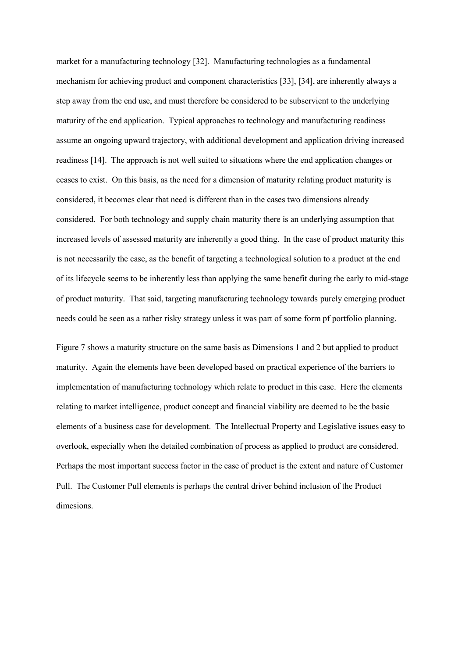market for a manufacturing technology [32]. Manufacturing technologies as a fundamental mechanism for achieving product and component characteristics [33], [34], are inherently always a step away from the end use, and must therefore be considered to be subservient to the underlying maturity of the end application.Typical approaches to technology and manufacturing readiness assume an ongoing upward trajectory, with additional development and application driving increased readiness [14]. The approach is not well suited to situations where the end application changes or ceases to exist. On this basis, as the need for a dimension of maturity relating product maturity is considered, it becomes clear that need is different than in the cases two dimensions already considered. For both technology and supply chain maturity there is an underlying assumption that increased levels of assessed maturity are inherently a good thing. In the case of product maturity this is not necessarily the case, as the benefit of targeting a technological solution to a product at the end of its lifecycle seems to be inherently less than applying the same benefit during the early to mid-stage of product maturity. That said, targeting manufacturing technology towards purely emerging product needs could be seen as a rather risky strategy unless it was part of some form pf portfolio planning.

Figure 7 shows a maturity structure on the same basis as Dimensions 1 and 2 but applied to product maturity. Again the elements have been developed based on practical experience of the barriers to implementation of manufacturing technology which relate to product in this case. Here the elements relating to market intelligence, product concept and financial viability are deemed to be the basic elements of a business case for development. The Intellectual Property and Legislative issues easy to overlook, especially when the detailed combination of process as applied to product are considered. Perhaps the most important success factor in the case of product is the extent and nature of Customer Pull. The Customer Pull elements is perhaps the central driver behind inclusion of the Product dimesions.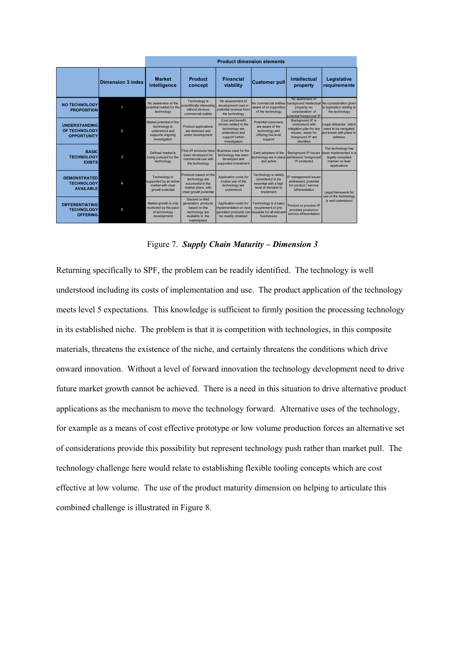|                                                                |                          | <b>Product dimension elements</b>                                                               |                                                                                                              |                                                                                                                    |                                                                                                      |                                                                                                                                                         |                                                                                                                         |  |  |  |
|----------------------------------------------------------------|--------------------------|-------------------------------------------------------------------------------------------------|--------------------------------------------------------------------------------------------------------------|--------------------------------------------------------------------------------------------------------------------|------------------------------------------------------------------------------------------------------|---------------------------------------------------------------------------------------------------------------------------------------------------------|-------------------------------------------------------------------------------------------------------------------------|--|--|--|
|                                                                | <b>Dimension 3 index</b> | <b>Market</b><br>intelligence                                                                   | Product<br>concept                                                                                           | <b>Financial</b><br>viability                                                                                      | <b>Customer pull</b>                                                                                 | Intellectual<br>property                                                                                                                                | Legislative<br>requirements                                                                                             |  |  |  |
| <b>NO TECHNOLOGY</b><br><b>PROPOSITION</b>                     |                          | No awareness of the<br>potential market for the<br>technology                                   | Technology is<br>scientifically interesting<br>without obvious<br>commercial outlets                         | No assessment of<br>development cost or<br>potential revenue from<br>the technology                                | aware of or supportive<br>of the technology                                                          | No awareness of<br>No commercial entities background intellectual No consideration given<br>property; no<br>consideration of<br>potential foreground IP | to legislation relating to<br>the technology                                                                            |  |  |  |
| <b>UNDERSTANDING</b><br>OF TECHNOLOGY<br><b>OPPORTUNITY</b>    | 2                        | Market potential of the<br>technology is<br>understood and<br>supports ongoing<br>investigation | <b>Product applications</b><br>are defeined and<br>under development                                         | Cost and benefit<br>drivers related to the<br>technology are<br>understood and<br>support further<br>investigation | Potential customers<br>are aware of the<br>technology and<br>offering low level<br>support           | Background IP is<br>understood with<br>mitigation plan for any<br>issues: areas for<br>foreground IP are<br>identifed                                   | Legal obtsacles which<br>need to be navigated<br>are known with plans to<br>address                                     |  |  |  |
| <b>BASIC</b><br><b>TECHNOLOGY</b><br><b>EXISTS</b>             | 3                        | Defined market is<br>being pursued for the<br>technology                                        | First-off products have<br>been developed for<br>commercial use with<br>the technology                       | Business case for the<br>technology has been<br>developed and<br>supported investment                              | Early adopters of the<br>technology are in place<br>and active                                       | addressed; foreground<br>IP protected                                                                                                                   | The technology has<br>Background IP issues been implemented in a<br>legally compliant<br>manner on lead<br>applications |  |  |  |
| <b>DEMONSTRATED</b><br><b>TECHNOLOGY</b><br><b>AVAILABLE</b>   | Δ                        | Technology is<br>supported by an active<br>market with clear<br>growth potential                | Products based on the<br>technology are<br>successful in the<br>market place, with<br>clear growth potential | Application costs for<br>routine use of the<br>technology are<br>understood                                        | Technology is widely<br>considered to be<br>essential with a high<br>level of demand to<br>implement | IP management issues<br>addressed: potential<br>for product / service<br>differentiation                                                                | Legal framework for<br>use of the technology                                                                            |  |  |  |
| <b>DIFFERENTIATING</b><br><b>TECHNOLOGY</b><br><b>OFFERING</b> | 5                        | Market growth is only<br>restricted by the pace<br>of technology<br>development                 | Second or third<br>generation products<br>based on the<br>technology are<br>available in the<br>marketplace  | Application costs for<br>implementation on next<br>genration products can<br>be readily obtained                   | Technology is a basic<br>requirement or pre-<br>requisite for all relevant<br>businesses             | Product or process IP<br>provides product or<br>service differentiation                                                                                 | is well understood                                                                                                      |  |  |  |

Figure 7. *Supply Chain Maturity – Dimension 3*

Returning specifically to SPF, the problem can be readily identified. The technology is well understood including its costs of implementation and use. The product application of the technology meets level 5 expectations. This knowledge is sufficient to firmly position the processing technology in its established niche. The problem is that it is competition with technologies, in this composite materials, threatens the existence of the niche, and certainly threatens the conditions which drive onward innovation. Without a level of forward innovation the technology development need to drive future market growth cannot be achieved. There is a need in this situation to drive alternative product applications as the mechanism to move the technology forward. Alternative uses of the technology, for example as a means of cost effective prototype or low volume production forces an alternative set of considerations provide this possibility but represent technology push rather than market pull. The technology challenge here would relate to establishing flexible tooling concepts which are cost effective at low volume. The use of the product maturity dimension on helping to articulate this combined challenge is illustrated in Figure 8.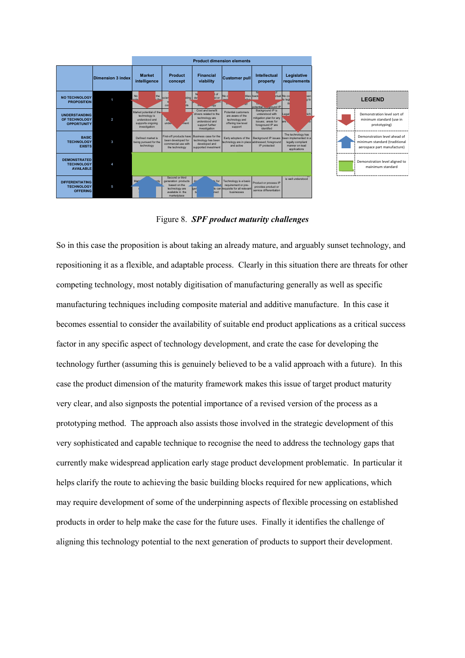|                                                                |                   | <b>Product dimension elements</b>                                                               |                                                                                                             |                                                                                                                    |                                                                                                 |                                                                                                                       |                                                                                                    |  |  |
|----------------------------------------------------------------|-------------------|-------------------------------------------------------------------------------------------------|-------------------------------------------------------------------------------------------------------------|--------------------------------------------------------------------------------------------------------------------|-------------------------------------------------------------------------------------------------|-----------------------------------------------------------------------------------------------------------------------|----------------------------------------------------------------------------------------------------|--|--|
|                                                                | Dimension 3 index | <b>Market</b><br>intelligence                                                                   | Product<br>concept                                                                                          | <b>Financial</b><br>viability                                                                                      | <b>Customer pull</b>                                                                            | Intellectual<br>property                                                                                              | Legislative<br>requirements                                                                        |  |  |
| <b>NO TECHNOLOGY</b><br><b>PROPOSITION</b>                     |                   | <b>No</b><br>the<br>$-45$<br>nota                                                               | scier<br>sting<br><b>ats</b><br>COL                                                                         | N<br>tof<br>st or<br>de <sup></sup><br><b>Jgy</b>                                                                  | No c<br>tities back                                                                             | 5f<br>N<br>potential to curound IP                                                                                    | ctual No co<br>ven<br>a to<br>to legi                                                              |  |  |
| <b>UNDERSTANDING</b><br>OF TECHNOLOGY<br><b>OPPORTUNITY</b>    | 2                 | Market potential of the<br>technology is<br>understood and<br>supports ongoing<br>investigation | a <sub>i</sub><br>under<br>ment                                                                             | Cost and benefit<br>drivers related to the<br>technology are<br>understood and<br>support further<br>investigation | Potential customers<br>are aware of the<br>technology and<br>offering low level<br>support      | Background IP is<br>understood with<br>mitigation plan for any<br>issues: areas for<br>foreground IP are<br>identifed | hich<br>Legal<br>in<br>are .                                                                       |  |  |
| <b>BASIC</b><br><b>TECHNOLOGY</b><br><b>EXISTS</b>             | з                 | Defined market is<br>being pursued for the<br>technology                                        | First-off products have<br>been developed for<br>commercial use with<br>the technology                      | Business case for the<br>technology has been<br>developed and<br>supported investment                              | Early adopters of the<br>technology are in place<br>and active                                  | Background IP issues<br>addressed; foreground<br>IP protected                                                         | The technology has<br>been implemented in a<br>legally compliant<br>manner on lead<br>applications |  |  |
| <b>DEMONSTRATED</b><br><b>TECHNOLOGY</b><br><b>AVAILABLE</b>   |                   |                                                                                                 |                                                                                                             |                                                                                                                    |                                                                                                 |                                                                                                                       |                                                                                                    |  |  |
| <b>DIFFERENTIATING</b><br><b>TECHNOLOGY</b><br><b>OFFERING</b> | 5                 | Mar <sup>1</sup>                                                                                | Second or third<br>generation products<br>based on the<br>technology are<br>available in the<br>marketplace | n for<br>Iger.<br>$\mathbf{h}$<br>ned                                                                              | Technology is a basic<br>requirement or pre-<br>ts can requisite for all relevant<br>husinesses | Product or process IP<br>provides product or<br>service differentiation                                               | is well understood                                                                                 |  |  |



Figure 8. *SPF product maturity challenges*

So in this case the proposition is about taking an already mature, and arguably sunset technology, and repositioning it as a flexible, and adaptable process. Clearly in this situation there are threats for other competing technology, most notably digitisation of manufacturing generally as well as specific manufacturing techniques including composite material and additive manufacture. In this case it becomes essential to consider the availability of suitable end product applications as a critical success factor in any specific aspect of technology development, and crate the case for developing the technology further (assuming this is genuinely believed to be a valid approach with a future). In this case the product dimension of the maturity framework makes this issue of target product maturity very clear, and also signposts the potential importance of a revised version of the process as a prototyping method. The approach also assists those involved in the strategic development of this very sophisticated and capable technique to recognise the need to address the technology gaps that currently make widespread application early stage product development problematic. In particular it helps clarify the route to achieving the basic building blocks required for new applications, which may require development of some of the underpinning aspects of flexible processing on established products in order to help make the case for the future uses. Finally it identifies the challenge of aligning this technology potential to the next generation of products to support their development.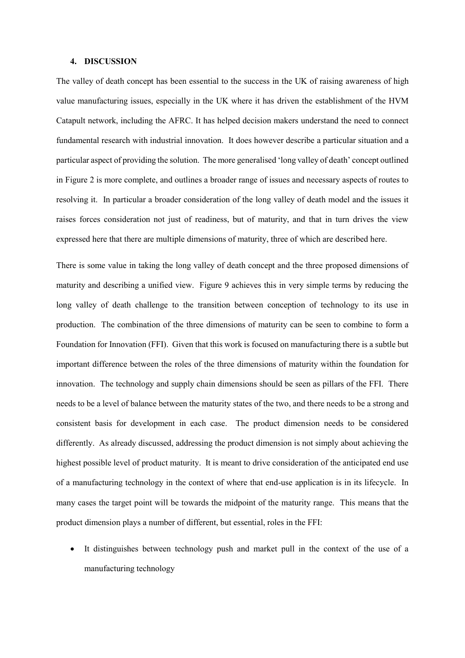#### **4. DISCUSSION**

The valley of death concept has been essential to the success in the UK of raising awareness of high value manufacturing issues, especially in the UK where it has driven the establishment of the HVM Catapult network, including the AFRC. It has helped decision makers understand the need to connect fundamental research with industrial innovation. It does however describe a particular situation and a particular aspect of providing the solution. The more generalised 'long valley of death' concept outlined in Figure 2 is more complete, and outlines a broader range of issues and necessary aspects of routes to resolving it. In particular a broader consideration of the long valley of death model and the issues it raises forces consideration not just of readiness, but of maturity, and that in turn drives the view expressed here that there are multiple dimensions of maturity, three of which are described here.

There is some value in taking the long valley of death concept and the three proposed dimensions of maturity and describing a unified view. Figure 9 achieves this in very simple terms by reducing the long valley of death challenge to the transition between conception of technology to its use in production. The combination of the three dimensions of maturity can be seen to combine to form a Foundation for Innovation (FFI). Given that this work is focused on manufacturing there is a subtle but important difference between the roles of the three dimensions of maturity within the foundation for innovation. The technology and supply chain dimensions should be seen as pillars of the FFI. There needs to be a level of balance between the maturity states of the two, and there needs to be a strong and consistent basis for development in each case. The product dimension needs to be considered differently. As already discussed, addressing the product dimension is not simply about achieving the highest possible level of product maturity. It is meant to drive consideration of the anticipated end use of a manufacturing technology in the context of where that end-use application is in its lifecycle. In many cases the target point will be towards the midpoint of the maturity range. This means that the product dimension plays a number of different, but essential, roles in the FFI:

 It distinguishes between technology push and market pull in the context of the use of a manufacturing technology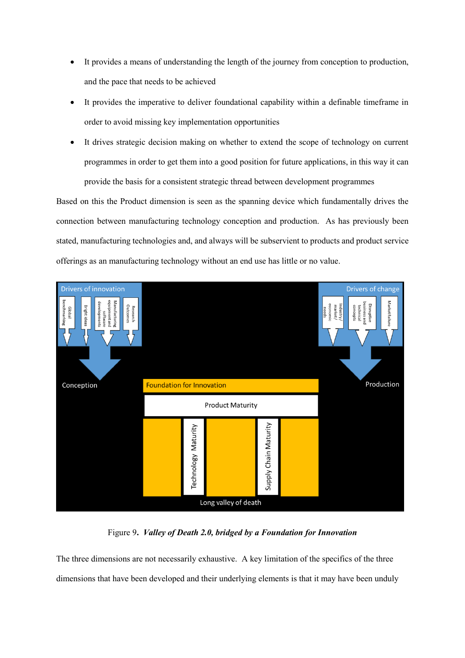- It provides a means of understanding the length of the journey from conception to production, and the pace that needs to be achieved
- It provides the imperative to deliver foundational capability within a definable timeframe in order to avoid missing key implementation opportunities
- It drives strategic decision making on whether to extend the scope of technology on current programmes in order to get them into a good position for future applications, in this way it can provide the basis for a consistent strategic thread between development programmes

Based on this the Product dimension is seen as the spanning device which fundamentally drives the connection between manufacturing technology conception and production. As has previously been stated, manufacturing technologies and, and always will be subservient to products and product service offerings as an manufacturing technology without an end use has little or no value.



Figure 9**.** *Valley of Death 2.0, bridged by a Foundation for Innovation*

The three dimensions are not necessarily exhaustive. A key limitation of the specifics of the three dimensions that have been developed and their underlying elements is that it may have been unduly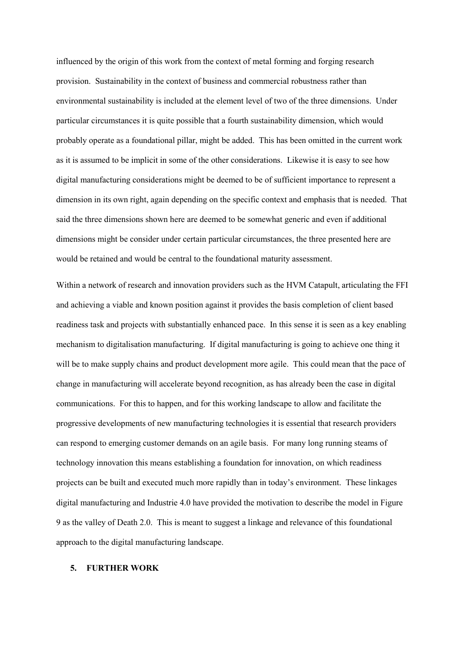influenced by the origin of this work from the context of metal forming and forging research provision. Sustainability in the context of business and commercial robustness rather than environmental sustainability is included at the element level of two of the three dimensions. Under particular circumstances it is quite possible that a fourth sustainability dimension, which would probably operate as a foundational pillar, might be added. This has been omitted in the current work as it is assumed to be implicit in some of the other considerations. Likewise it is easy to see how digital manufacturing considerations might be deemed to be of sufficient importance to represent a dimension in its own right, again depending on the specific context and emphasis that is needed. That said the three dimensions shown here are deemed to be somewhat generic and even if additional dimensions might be consider under certain particular circumstances, the three presented here are would be retained and would be central to the foundational maturity assessment.

Within a network of research and innovation providers such as the HVM Catapult, articulating the FFI and achieving a viable and known position against it provides the basis completion of client based readiness task and projects with substantially enhanced pace. In this sense it is seen as a key enabling mechanism to digitalisation manufacturing. If digital manufacturing is going to achieve one thing it will be to make supply chains and product development more agile. This could mean that the pace of change in manufacturing will accelerate beyond recognition, as has already been the case in digital communications. For this to happen, and for this working landscape to allow and facilitate the progressive developments of new manufacturing technologies it is essential that research providers can respond to emerging customer demands on an agile basis. For many long running steams of technology innovation this means establishing a foundation for innovation, on which readiness projects can be built and executed much more rapidly than in today's environment. These linkages digital manufacturing and Industrie 4.0 have provided the motivation to describe the model in Figure 9 as the valley of Death 2.0. This is meant to suggest a linkage and relevance of this foundational approach to the digital manufacturing landscape.

## **5. FURTHER WORK**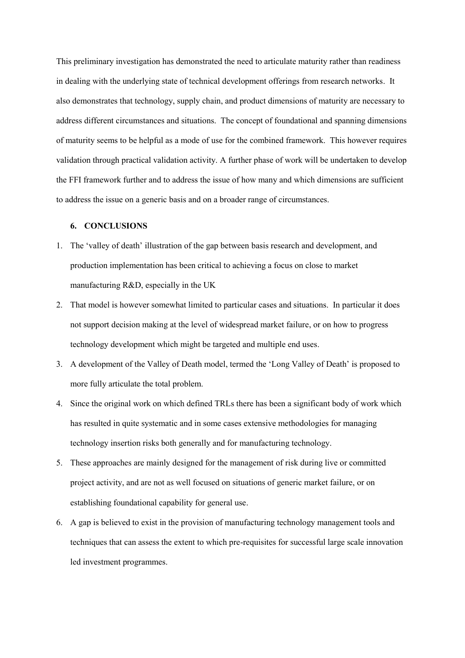This preliminary investigation has demonstrated the need to articulate maturity rather than readiness in dealing with the underlying state of technical development offerings from research networks. It also demonstrates that technology, supply chain, and product dimensions of maturity are necessary to address different circumstances and situations. The concept of foundational and spanning dimensions of maturity seems to be helpful as a mode of use for the combined framework. This however requires validation through practical validation activity. A further phase of work will be undertaken to develop the FFI framework further and to address the issue of how many and which dimensions are sufficient to address the issue on a generic basis and on a broader range of circumstances.

#### **6. CONCLUSIONS**

- 1. The 'valley of death' illustration of the gap between basis research and development, and production implementation has been critical to achieving a focus on close to market manufacturing R&D, especially in the UK
- 2. That model is however somewhat limited to particular cases and situations. In particular it does not support decision making at the level of widespread market failure, or on how to progress technology development which might be targeted and multiple end uses.
- 3. A development of the Valley of Death model, termed the 'Long Valley of Death' is proposed to more fully articulate the total problem.
- 4. Since the original work on which defined TRLs there has been a significant body of work which has resulted in quite systematic and in some cases extensive methodologies for managing technology insertion risks both generally and for manufacturing technology.
- 5. These approaches are mainly designed for the management of risk during live or committed project activity, and are not as well focused on situations of generic market failure, or on establishing foundational capability for general use.
- 6. A gap is believed to exist in the provision of manufacturing technology management tools and techniques that can assess the extent to which pre-requisites for successful large scale innovation led investment programmes.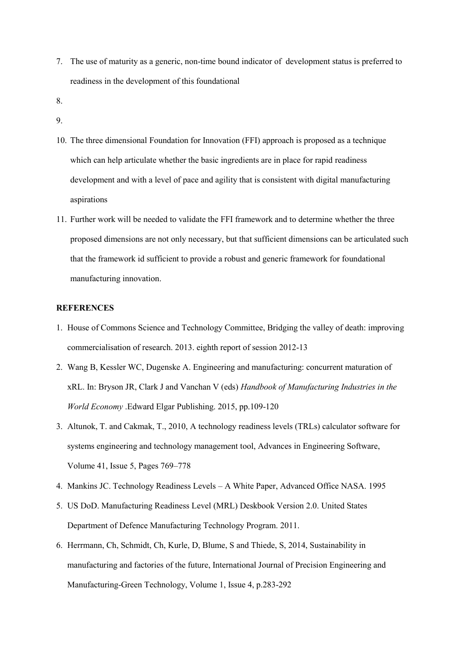- 7. The use of maturity as a generic, non-time bound indicator of development status is preferred to readiness in the development of this foundational
- 8.
- 9.
- 10. The three dimensional Foundation for Innovation (FFI) approach is proposed as a technique which can help articulate whether the basic ingredients are in place for rapid readiness development and with a level of pace and agility that is consistent with digital manufacturing aspirations
- 11. Further work will be needed to validate the FFI framework and to determine whether the three proposed dimensions are not only necessary, but that sufficient dimensions can be articulated such that the framework id sufficient to provide a robust and generic framework for foundational manufacturing innovation.

## **REFERENCES**

- 1. House of Commons Science and Technology Committee, Bridging the valley of death: improving commercialisation of research. 2013. eighth report of session 2012-13
- 2. Wang B, Kessler WC, Dugenske A. Engineering and manufacturing: concurrent maturation of xRL. In: Bryson JR, Clark J and Vanchan V (eds) *Handbook of Manufacturing Industries in the World Economy* .Edward Elgar Publishing. 2015, pp.109-120
- 3. Altunok, T. and Cakmak, T., 2010, A technology readiness levels (TRLs) calculator software for systems engineering and technology management tool, Advances in Engineering Software, Volume 41, Issue 5, Pages 769–778
- 4. Mankins JC. Technology Readiness Levels A White Paper, Advanced Office NASA. 1995
- 5. US DoD. Manufacturing Readiness Level (MRL) Deskbook Version 2.0. United States Department of Defence Manufacturing Technology Program. 2011.
- 6. Herrmann, Ch, Schmidt, Ch, Kurle, D, Blume, S and Thiede, S, 2014, Sustainability in manufacturing and factories of the future, International Journal of Precision Engineering and Manufacturing-Green Technology, Volume 1, Issue 4, p.283-292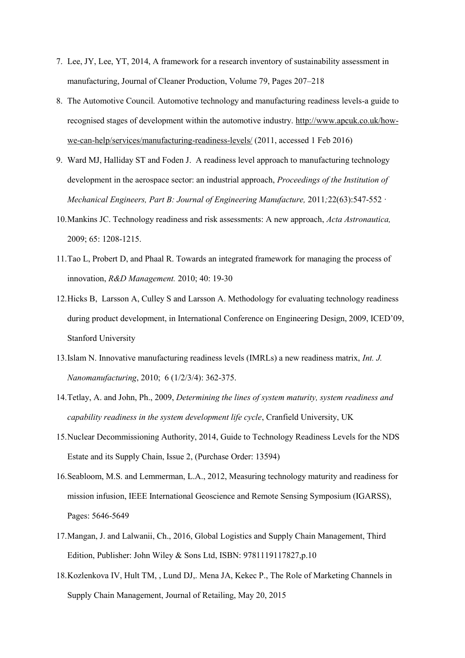- 7. Lee, JY, Lee, YT, 2014, A framework for a research inventory of sustainability assessment in manufacturing, Journal of Cleaner Production, Volume 79, Pages 207–218
- 8. The Automotive Council*.* Automotive technology and manufacturing readiness levels-a guide to recognised stages of development within the automotive industry. [http://www.apcuk.co.uk/how](http://www.apcuk.co.uk/how-we-can-help/services/manufacturing-readiness-levels/)[we-can-help/services/manufacturing-readiness-levels/](http://www.apcuk.co.uk/how-we-can-help/services/manufacturing-readiness-levels/) (2011, accessed 1 Feb 2016)
- 9. Ward MJ, Halliday ST and Foden J. A readiness level approach to manufacturing technology development in the aerospace sector: an industrial approach, *Proceedings of the Institution of Mechanical Engineers, Part B: Journal of Engineering Manufacture,* 2011*;*22(63):547-552 ·
- 10.Mankins JC. Technology readiness and risk assessments: A new approach, *Acta Astronautica,* 2009; 65: 1208-1215.
- 11.Tao L, Probert D, and Phaal R. Towards an integrated framework for managing the process of innovation, *R&D Management.* 2010; 40: 19-30
- 12.Hicks B, Larsson A, Culley S and Larsson A. Methodology for evaluating technology readiness during product development, in International Conference on Engineering Design, 2009, ICED'09, Stanford University
- 13.Islam N. Innovative manufacturing readiness levels (IMRLs) a new readiness matrix, *Int. J. Nanomanufacturing*, 2010; 6 (1/2/3/4): 362-375.
- 14.Tetlay, A. and John, Ph., 2009, *Determining the lines of system maturity, system readiness and capability readiness in the system development life cycle*, Cranfield University, UK
- 15.Nuclear Decommissioning Authority, 2014, Guide to Technology Readiness Levels for the NDS Estate and its Supply Chain, Issue 2, (Purchase Order: 13594)
- 16.Seabloom, M.S. and Lemmerman, L.A., 2012, Measuring technology maturity and readiness for mission infusion, IEEE International Geoscience and Remote Sensing Symposium (IGARSS), Pages: 5646-5649
- 17.Mangan, J. and Lalwanii, Ch., 2016, Global Logistics and Supply Chain Management, Third Edition, Publisher: John Wiley & Sons Ltd, ISBN: 9781119117827,p.10
- 18.Kozlenkova IV, Hult TM, , Lund DJ,. Mena JA, Kekec P., The Role of Marketing Channels in Supply Chain Management, Journal of Retailing, May 20, 2015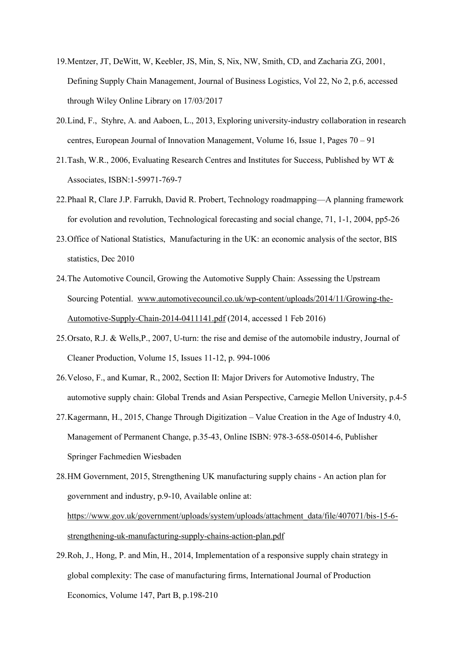- 19.Mentzer, JT, DeWitt, W, Keebler, JS, Min, S, Nix, NW, Smith, CD, and Zacharia ZG, 2001, Defining Supply Chain Management, Journal of Business Logistics, Vol 22, No 2, p.6, accessed through Wiley Online Library on 17/03/2017
- 20.Lind, F., Styhre, A. and Aaboen, L., 2013, Exploring university-industry collaboration in research centres, European Journal of Innovation Management, Volume 16, Issue 1, Pages 70 – 91
- 21.Tash, W.R., 2006, Evaluating Research Centres and Institutes for Success, Published by WT & Associates, ISBN:1-59971-769-7
- 22.Phaal R, Clare J.P. Farrukh, David R. Probert, Technology roadmapping—A planning framework for evolution and revolution, Technological forecasting and social change, 71, 1-1, 2004, pp5-26
- 23.Office of National Statistics, Manufacturing in the UK: an economic analysis of the sector, BIS statistics, Dec 2010
- 24.The Automotive Council, Growing the Automotive Supply Chain: Assessing the Upstream Sourcing Potential. [www.automotivecouncil.co.uk/wp-content/uploads/2014/11/Growing-the-](http://www.automotivecouncil.co.uk/wp-content/uploads/2014/11/Growing-the-Automotive-Supply-Chain-2014-0411141.pdf)[Automotive-Supply-Chain-2014-0411141.pdf](http://www.automotivecouncil.co.uk/wp-content/uploads/2014/11/Growing-the-Automotive-Supply-Chain-2014-0411141.pdf) (2014, accessed 1 Feb 2016)
- 25.Orsato, R.J. & Wells,P., 2007, U-turn: the rise and demise of the automobile industry, Journal of Cleaner Production, Volume 15, Issues 11-12, p. 994-1006
- 26.Veloso, F., and Kumar, R., 2002, Section II: Major Drivers for Automotive Industry, The automotive supply chain: Global Trends and Asian Perspective, Carnegie Mellon University, p.4-5
- 27.Kagermann, H., 2015, Change Through Digitization Value Creation in the Age of Industry 4.0, Management of Permanent Change, p.35-43, Online ISBN: 978-3-658-05014-6, Publisher Springer Fachmedien Wiesbaden
- 28.HM Government, 2015, Strengthening UK manufacturing supply chains An action plan for government and industry, p.9-10, Available online at: [https://www.gov.uk/government/uploads/system/uploads/attachment\\_data/file/407071/bis-15-6](https://www.gov.uk/government/uploads/system/uploads/attachment_data/file/407071/bis-15-6-strengthening-uk-manufacturing-supply-chains-action-plan.pdf) [strengthening-uk-manufacturing-supply-chains-action-plan.pdf](https://www.gov.uk/government/uploads/system/uploads/attachment_data/file/407071/bis-15-6-strengthening-uk-manufacturing-supply-chains-action-plan.pdf)
- 29.Roh, J., Hong, P. and Min, H., 2014, Implementation of a responsive supply chain strategy in global complexity: The case of manufacturing firms, International Journal of Production Economics, Volume 147, Part B, p.198-210